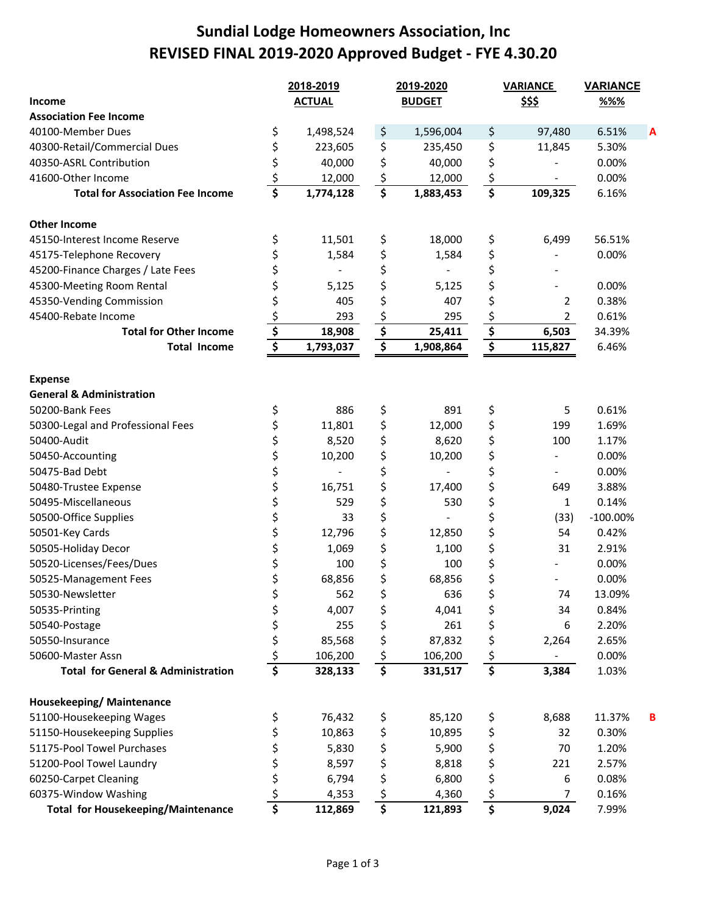# **Sundial Lodge Homeowners Association, Inc REVISED FINAL 2019‐2020 Approved Budget ‐ FYE 4.30.20**

|                                               |                                 | 2018-2019     |                                     | 2019-2020     |                                      | <b>VARIANCE</b> | <b>VARIANCE</b> |   |  |
|-----------------------------------------------|---------------------------------|---------------|-------------------------------------|---------------|--------------------------------------|-----------------|-----------------|---|--|
| Income                                        |                                 | <b>ACTUAL</b> |                                     | <b>BUDGET</b> |                                      | <u>\$\$\$</u>   | %%              |   |  |
| <b>Association Fee Income</b>                 |                                 |               |                                     |               |                                      |                 |                 |   |  |
| 40100-Member Dues                             | \$                              | 1,498,524     | \$                                  | 1,596,004     | \$                                   | 97,480          | 6.51%           |   |  |
| 40300-Retail/Commercial Dues                  | \$                              | 223,605       | \$                                  | 235,450       | \$                                   | 11,845          | 5.30%           |   |  |
| 40350-ASRL Contribution                       | \$                              | 40,000        | \$                                  | 40,000        | \$                                   |                 | 0.00%           |   |  |
| 41600-Other Income                            | \$                              | 12,000        | $\boldsymbol{\dot{\varsigma}}$      | 12,000        | \$                                   |                 | 0.00%           |   |  |
| <b>Total for Association Fee Income</b>       | $\overline{\boldsymbol{\zeta}}$ | 1,774,128     | $\overline{\boldsymbol{\xi}}$       | 1,883,453     | $\overline{\boldsymbol{\varsigma}}$  | 109,325         | 6.16%           |   |  |
| <b>Other Income</b>                           |                                 |               |                                     |               |                                      |                 |                 |   |  |
| 45150-Interest Income Reserve                 | \$                              | 11,501        | \$                                  | 18,000        | \$                                   | 6,499           | 56.51%          |   |  |
| 45175-Telephone Recovery                      | \$                              | 1,584         | \$                                  | 1,584         | \$                                   |                 | 0.00%           |   |  |
| 45200-Finance Charges / Late Fees             | \$                              |               | \$                                  |               | \$                                   |                 |                 |   |  |
| 45300-Meeting Room Rental                     | \$                              | 5,125         | \$                                  | 5,125         | \$                                   |                 | 0.00%           |   |  |
| 45350-Vending Commission                      | \$                              | 405           | \$                                  | 407           | \$                                   | 2               | 0.38%           |   |  |
| 45400-Rebate Income                           | \$                              | 293           |                                     | 295           | \$                                   | $\overline{2}$  | 0.61%           |   |  |
| <b>Total for Other Income</b>                 | \$                              | 18,908        | $rac{\frac{5}{5}}{1}$               | 25,411        | $\overline{\boldsymbol{\mathsf{S}}}$ | 6,503           | 34.39%          |   |  |
| <b>Total Income</b>                           | $\overline{\boldsymbol{\xi}}$   | 1,793,037     | $\overline{\boldsymbol{\xi}}$       | 1,908,864     | $\overline{\boldsymbol{\zeta}}$      | 115,827         | 6.46%           |   |  |
| <b>Expense</b>                                |                                 |               |                                     |               |                                      |                 |                 |   |  |
| <b>General &amp; Administration</b>           |                                 |               |                                     |               |                                      |                 |                 |   |  |
| 50200-Bank Fees                               | \$                              | 886           | \$                                  | 891           | \$                                   | 5               | 0.61%           |   |  |
| 50300-Legal and Professional Fees             | \$                              | 11,801        | \$                                  | 12,000        | \$                                   | 199             | 1.69%           |   |  |
| 50400-Audit                                   | \$                              | 8,520         | \$                                  | 8,620         | \$                                   | 100             | 1.17%           |   |  |
| 50450-Accounting                              | \$                              | 10,200        | \$                                  | 10,200        | \$                                   |                 | 0.00%           |   |  |
| 50475-Bad Debt                                | \$                              |               | \$                                  |               | \$                                   |                 | 0.00%           |   |  |
| 50480-Trustee Expense                         | \$                              | 16,751        | \$                                  | 17,400        | \$                                   | 649             | 3.88%           |   |  |
| 50495-Miscellaneous                           | \$                              | 529           | \$                                  | 530           | \$                                   | 1               | 0.14%           |   |  |
| 50500-Office Supplies                         | \$                              | 33            | \$                                  |               | \$                                   | (33)            | $-100.00\%$     |   |  |
| 50501-Key Cards                               | \$                              | 12,796        | \$                                  | 12,850        | \$                                   | 54              | 0.42%           |   |  |
| 50505-Holiday Decor                           | \$                              | 1,069         | \$                                  | 1,100         | \$                                   | 31              | 2.91%           |   |  |
| 50520-Licenses/Fees/Dues                      | \$                              | 100           | \$                                  | 100           | \$                                   |                 | 0.00%           |   |  |
| 50525-Management Fees                         | \$                              | 68,856        | \$                                  | 68,856        | \$                                   |                 | 0.00%           |   |  |
| 50530-Newsletter                              |                                 | 562           | Ś                                   | 636           | \$                                   | 74              | 13.09%          |   |  |
| 50535-Printing                                | \$                              | 4,007         | \$                                  | 4,041         | \$                                   | 34              | 0.84%           |   |  |
| 50540-Postage                                 | \$                              | 255           | \$                                  | 261           | \$                                   | 6               | 2.20%           |   |  |
| 50550-Insurance                               | \$                              | 85,568        | \$                                  | 87,832        | \$                                   | 2,264           | 2.65%           |   |  |
| 50600-Master Assn                             | \$                              | 106,200       | $\zeta$                             | 106,200       | \$                                   | $\blacksquare$  | 0.00%           |   |  |
| <b>Total for General &amp; Administration</b> | \$                              | 328,133       | $\overline{\boldsymbol{\varsigma}}$ | 331,517       | $\overline{\boldsymbol{\zeta}}$      | 3,384           | 1.03%           |   |  |
| Housekeeping/ Maintenance                     |                                 |               |                                     |               |                                      |                 |                 |   |  |
| 51100-Housekeeping Wages                      | \$                              | 76,432        | \$                                  | 85,120        | \$                                   | 8,688           | 11.37%          | в |  |
| 51150-Housekeeping Supplies                   | \$                              | 10,863        | \$                                  | 10,895        | \$                                   | 32              | 0.30%           |   |  |
| 51175-Pool Towel Purchases                    |                                 | 5,830         | \$                                  | 5,900         | \$                                   | 70              | 1.20%           |   |  |
| 51200-Pool Towel Laundry                      | \$                              | 8,597         | \$                                  | 8,818         | \$                                   | 221             | 2.57%           |   |  |
| 60250-Carpet Cleaning                         | \$                              | 6,794         | \$                                  | 6,800         | \$                                   | 6               | 0.08%           |   |  |
| 60375-Window Washing                          | \$                              | 4,353         | $\boldsymbol{\dot{\varsigma}}$      | 4,360         | \$                                   | 7               | 0.16%           |   |  |
| <b>Total for Housekeeping/Maintenance</b>     | $\overline{\boldsymbol{\zeta}}$ | 112,869       | $\overline{\boldsymbol{\zeta}}$     | 121,893       | $\overline{\boldsymbol{\zeta}}$      | 9,024           | 7.99%           |   |  |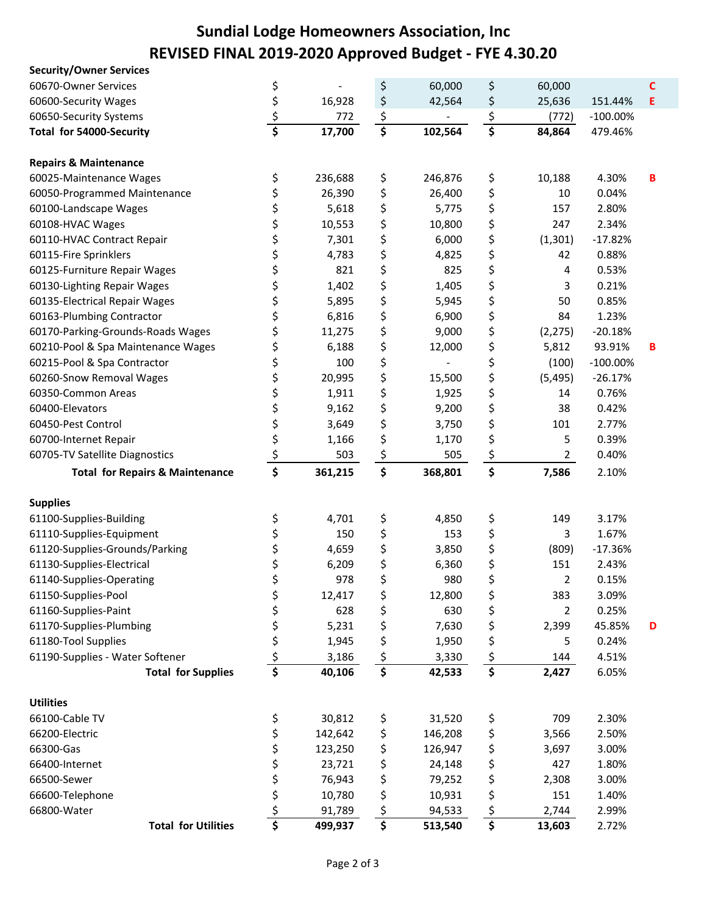# **Sundial Lodge Homeowners Association, Inc REVISED FINAL 2019‐2020 Approved Budget ‐ FYE 4.30.20**

| <b>Security/Owner Services</b>             |                                 |                  |                 |                  |                                 |                |                |   |
|--------------------------------------------|---------------------------------|------------------|-----------------|------------------|---------------------------------|----------------|----------------|---|
| 60670-Owner Services                       | \$                              |                  | \$              | 60,000           | \$                              | 60,000         |                | С |
| 60600-Security Wages                       | \$                              | 16,928           | \$              | 42,564           | \$                              | 25,636         | 151.44%        | Е |
| 60650-Security Systems                     | \$                              | 772              | \$              |                  | \$                              | (772)          | $-100.00\%$    |   |
| Total for 54000-Security                   | $\overline{\boldsymbol{\zeta}}$ | 17,700           | \$              | 102,564          | \$                              | 84,864         | 479.46%        |   |
|                                            |                                 |                  |                 |                  |                                 |                |                |   |
| <b>Repairs &amp; Maintenance</b>           |                                 |                  |                 |                  |                                 |                |                |   |
| 60025-Maintenance Wages                    | \$                              | 236,688          | \$              | 246,876          | \$                              | 10,188         | 4.30%          | В |
| 60050-Programmed Maintenance               | \$                              | 26,390           | \$              | 26,400           | \$                              | 10             | 0.04%          |   |
| 60100-Landscape Wages                      | \$                              | 5,618            | \$              | 5,775            | \$                              | 157            | 2.80%          |   |
| 60108-HVAC Wages                           | \$                              | 10,553           | \$              | 10,800           | \$                              | 247            | 2.34%          |   |
| 60110-HVAC Contract Repair                 | \$                              | 7,301            | \$              | 6,000            | \$                              | (1, 301)       | $-17.82%$      |   |
| 60115-Fire Sprinklers                      | \$                              | 4,783            | \$              | 4,825            | \$                              | 42             | 0.88%          |   |
| 60125-Furniture Repair Wages               | \$                              | 821              | \$              | 825              | \$                              | 4              | 0.53%          |   |
| 60130-Lighting Repair Wages                | \$                              | 1,402            | \$              | 1,405            | \$                              | 3              | 0.21%          |   |
| 60135-Electrical Repair Wages              | \$                              | 5,895            | \$              | 5,945            | \$                              | 50             | 0.85%          |   |
| 60163-Plumbing Contractor                  | \$                              | 6,816            | \$              | 6,900            | \$                              | 84             | 1.23%          |   |
| 60170-Parking-Grounds-Roads Wages          | \$                              | 11,275           | \$              | 9,000            | \$                              | (2, 275)       | $-20.18%$      |   |
| 60210-Pool & Spa Maintenance Wages         | \$                              | 6,188            | \$              | 12,000           | \$                              | 5,812          | 93.91%         | В |
| 60215-Pool & Spa Contractor                | \$                              | 100              | \$              |                  | \$                              | (100)          | $-100.00\%$    |   |
| 60260-Snow Removal Wages                   | \$                              | 20,995           | \$              | 15,500           | \$                              | (5, 495)       | $-26.17%$      |   |
| 60350-Common Areas                         | \$                              | 1,911            | \$              | 1,925            | \$                              | 14             | 0.76%          |   |
| 60400-Elevators                            | \$                              | 9,162            | \$              | 9,200            | \$                              | 38             | 0.42%          |   |
| 60450-Pest Control                         | \$                              | 3,649            | \$              | 3,750            | \$                              | 101            | 2.77%          |   |
| 60700-Internet Repair                      | \$                              | 1,166            | \$              | 1,170            | \$                              | 5              | 0.39%          |   |
| 60705-TV Satellite Diagnostics             | \$                              | 503              | \$              | 505              | $\zeta$                         | $\overline{2}$ | 0.40%          |   |
| <b>Total for Repairs &amp; Maintenance</b> | \$                              | 361,215          | \$              | 368,801          | \$                              | 7,586          | 2.10%          |   |
|                                            |                                 |                  |                 |                  |                                 |                |                |   |
| <b>Supplies</b>                            |                                 |                  |                 |                  |                                 |                |                |   |
| 61100-Supplies-Building                    | \$                              | 4,701            | \$              | 4,850            | \$                              | 149            | 3.17%          |   |
| 61110-Supplies-Equipment                   | \$                              | 150              | \$              | 153              | \$                              | 3              | 1.67%          |   |
| 61120-Supplies-Grounds/Parking             | \$                              | 4,659            | \$              | 3,850            | \$                              | (809)          | $-17.36%$      |   |
| 61130-Supplies-Electrical                  | \$                              | 6,209            | \$              | 6,360            | \$                              | 151            | 2.43%          |   |
| 61140-Supplies-Operating                   | \$                              | 978              | \$              | 980              | \$                              | 2              | 0.15%          |   |
| 61150-Supplies-Pool                        | \$                              | 12,417           | \$              | 12,800           | \$                              | 383            | 3.09%          |   |
| 61160-Supplies-Paint                       | \$                              | 628              | \$              | 630              | \$                              | 2              | 0.25%          |   |
| 61170-Supplies-Plumbing                    | \$                              | 5,231            | \$              | 7,630            | \$                              | 2,399          | 45.85%         | D |
| 61180-Tool Supplies                        | \$                              | 1,945            | \$              | 1,950            | \$                              | 5              | 0.24%          |   |
| 61190-Supplies - Water Softener            | \$                              | 3,186            | \$              | 3,330            | $\zeta$                         | 144            | 4.51%          |   |
| <b>Total for Supplies</b>                  | \$                              |                  | \$              | 42,533           | $\overline{\boldsymbol{\zeta}}$ | 2,427          | 6.05%          |   |
|                                            |                                 |                  |                 |                  |                                 |                |                |   |
|                                            |                                 | 40,106           |                 |                  |                                 |                |                |   |
|                                            |                                 |                  |                 |                  |                                 |                |                |   |
| <b>Utilities</b>                           |                                 |                  |                 |                  |                                 |                |                |   |
| 66100-Cable TV<br>66200-Electric           | \$                              | 30,812           | \$              | 31,520           | \$                              | 709            | 2.30%<br>2.50% |   |
| 66300-Gas                                  | \$                              | 142,642          | \$              | 146,208          | \$                              | 3,566          |                |   |
| 66400-Internet                             | \$                              | 123,250          | \$              | 126,947          | \$                              | 3,697<br>427   | 3.00%          |   |
| 66500-Sewer                                | \$                              | 23,721           | \$              | 24,148           | \$                              |                | 1.80%          |   |
| 66600-Telephone                            | \$                              | 76,943<br>10,780 | \$              | 79,252<br>10,931 | \$                              | 2,308<br>151   | 3.00%<br>1.40% |   |
| 66800-Water                                | \$<br>\$                        | 91,789           | \$<br><u>\$</u> | 94,533           | \$<br>\$                        | 2,744          | 2.99%          |   |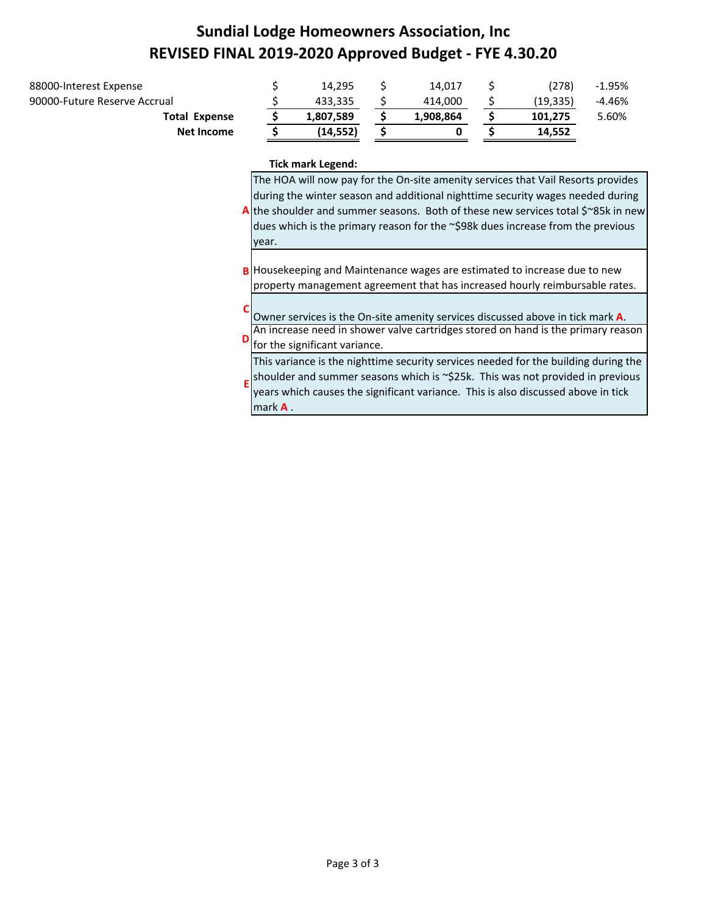# **Sundial Lodge Homeowners Association, Inc REVISED FINAL 2019‐2020 Approved Budget ‐ FYE 4.30.20**

| Net Income                   | (14, 552) |           | 14.552   |        |
|------------------------------|-----------|-----------|----------|--------|
| <b>Total Expense</b>         | 1,807,589 | 1,908,864 | 101.275  | 5.60%  |
| 90000-Future Reserve Accrual | 433.335   | 414.000   | (19.335) | -4.46% |
| 88000-Interest Expense       | 14.295    | 14.017    | (278)    | -1.95% |
|                              |           |           |          |        |

#### **Tick mark Legend:**

|   | The HOA will now pay for the On-site amenity services that Vail Resorts provides<br>during the winter season and additional nighttime security wages needed during<br>A the shoulder and summer seasons. Both of these new services total $\zeta$ 85k in new<br>dues which is the primary reason for the ~\$98k dues increase from the previous<br>year. |
|---|----------------------------------------------------------------------------------------------------------------------------------------------------------------------------------------------------------------------------------------------------------------------------------------------------------------------------------------------------------|
| B | Housekeeping and Maintenance wages are estimated to increase due to new<br>property management agreement that has increased hourly reimbursable rates.                                                                                                                                                                                                   |
|   | Owner services is the On-site amenity services discussed above in tick mark A.<br>An increase need in shower valve cartridges stored on hand is the primary reason<br>for the significant variance.                                                                                                                                                      |
|   | This variance is the nighttime security services needed for the building during the<br>shoulder and summer seasons which is ~\$25k. This was not provided in previous<br>years which causes the significant variance. This is also discussed above in tick<br>mark $A$ .                                                                                 |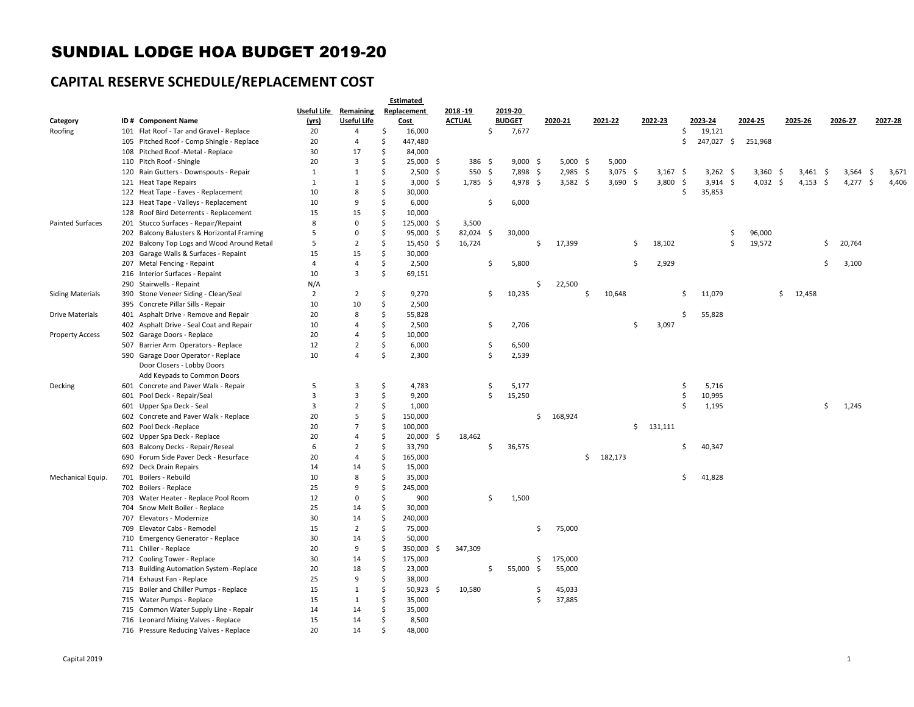#### SUNDIAL LODGE HOA BUDGET 2019-20

## **CAPITAL RESERVE SCHEDULE/REPLACEMENT COST**

|                         |     |                                             | <b>Estimated</b> |                              |                    |             |     |               |     |               |     |            |     |         |                    |         |     |            |    |          |    |            |    |          |                     |         |
|-------------------------|-----|---------------------------------------------|------------------|------------------------------|--------------------|-------------|-----|---------------|-----|---------------|-----|------------|-----|---------|--------------------|---------|-----|------------|----|----------|----|------------|----|----------|---------------------|---------|
|                         |     |                                             |                  | <b>Useful Life Remaining</b> |                    | Replacement |     | 2018 - 19     |     | 2019-20       |     |            |     |         |                    |         |     |            |    |          |    |            |    |          |                     |         |
| Category                |     | ID # Component Name                         | (yrs)            | <b>Useful Life</b>           |                    | Cost        |     | <b>ACTUAL</b> |     | <b>BUDGET</b> |     | 2020-21    |     | 2021-22 |                    | 2022-23 |     | 2023-24    |    | 2024-25  |    | 2025-26    |    | 2026-27  |                     | 2027-28 |
| Roofing                 |     | 101 Flat Roof - Tar and Gravel - Replace    | 20               | 4                            | $\mathsf{\hat{S}}$ | 16,000      |     |               | \$  | 7,677         |     |            |     |         |                    |         | \$  | 19,121     |    |          |    |            |    |          |                     |         |
|                         |     | 105 Pitched Roof - Comp Shingle - Replace   | 20               | $\overline{4}$               | $\mathsf{\hat{S}}$ | 447,480     |     |               |     |               |     |            |     |         |                    |         | Ś   | 247,027 \$ |    | 251,968  |    |            |    |          |                     |         |
|                         |     | 108 Pitched Roof -Metal - Replace           | 30               | 17                           | $\mathsf{\hat{S}}$ | 84,000      |     |               |     |               |     |            |     |         |                    |         |     |            |    |          |    |            |    |          |                     |         |
|                         |     | 110 Pitch Roof - Shingle                    | 20               | $\overline{\mathbf{3}}$      | Ś                  | 25,000 \$   |     | 386 \$        |     | $9,000$ \$    |     | $5,000$ \$ |     | 5,000   |                    |         |     |            |    |          |    |            |    |          |                     |         |
|                         |     | 120 Rain Gutters - Downspouts - Repair      | 1                | 1                            | Ś                  | 2,500       | -\$ | 550           | \$  | 7,898         | -\$ | 2,985      | -\$ | 3,075   | -\$                | 3,167   | -\$ | $3,262$ \$ |    | 3,360    | -S | 3,461      | -S | 3,564    | $\ddot{\mathsf{s}}$ | 3,671   |
|                         |     | 121 Heat Tape Repairs                       | $\mathbf{1}$     | 1                            | Ś                  | $3,000$ \$  |     | $1,785$ \$    |     | 4,978 \$      |     | $3,582$ \$ |     | 3,690   | -\$                | 3,800   | -\$ | $3,914$ \$ |    | 4,032 \$ |    | $4,153$ \$ |    | 4,277 \$ |                     | 4,406   |
|                         |     | 122 Heat Tape - Eaves - Replacement         | 10               | 8                            | Ś                  | 30,000      |     |               |     |               |     |            |     |         |                    |         | Ś   | 35,853     |    |          |    |            |    |          |                     |         |
|                         |     | 123 Heat Tape - Valleys - Replacement       | 10               | 9                            | Ś                  | 6,000       |     |               | \$  | 6,000         |     |            |     |         |                    |         |     |            |    |          |    |            |    |          |                     |         |
|                         |     | 128 Roof Bird Deterrents - Replacement      | 15               | 15                           | Ś                  | 10,000      |     |               |     |               |     |            |     |         |                    |         |     |            |    |          |    |            |    |          |                     |         |
| <b>Painted Surfaces</b> |     | 201 Stucco Surfaces - Repair/Repaint        | 8                | $\mathbf 0$                  | Ś.                 | 125,000     | -\$ | 3,500         |     |               |     |            |     |         |                    |         |     |            |    |          |    |            |    |          |                     |         |
|                         |     | 202 Balcony Balusters & Horizontal Framing  | 5                | $\mathbf 0$                  | S,                 | 95,000      | -\$ | 82,024        | -\$ | 30,000        |     |            |     |         |                    |         |     |            | S, | 96,000   |    |            |    |          |                     |         |
|                         |     | 202 Balcony Top Logs and Wood Around Retail | 5                | $\overline{2}$               | $\mathsf{\hat{S}}$ | 15,450      | -\$ | 16,724        |     |               | \$  | 17,399     |     |         | \$                 | 18,102  |     |            | \$ | 19,572   |    |            | Ŝ  | 20,764   |                     |         |
|                         |     | 203 Garage Walls & Surfaces - Repaint       | 15               | 15                           | \$                 | 30,000      |     |               |     |               |     |            |     |         |                    |         |     |            |    |          |    |            |    |          |                     |         |
|                         |     | 207 Metal Fencing - Repaint                 | $\overline{4}$   | $\overline{4}$               | \$                 | 2,500       |     |               | \$  | 5,800         |     |            |     |         | $\mathsf{\hat{S}}$ | 2,929   |     |            |    |          |    |            | Ŝ  | 3,100    |                     |         |
|                         |     | 216 Interior Surfaces - Repaint             | 10               | $\overline{3}$               | Ś                  | 69,151      |     |               |     |               |     |            |     |         |                    |         |     |            |    |          |    |            |    |          |                     |         |
|                         |     | 290 Stairwells - Repaint                    | N/A              |                              |                    |             |     |               |     |               | Ś   | 22,500     |     |         |                    |         |     |            |    |          |    |            |    |          |                     |         |
|                         |     |                                             | $\overline{2}$   |                              | $\mathsf{\hat{S}}$ |             |     |               |     |               |     |            | \$  |         |                    |         | Ś   |            |    |          |    |            |    |          |                     |         |
| <b>Siding Materials</b> |     | 390 Stone Veneer Siding - Clean/Seal        | 10               | $\overline{2}$<br>10         | \$                 | 9,270       |     |               | \$  | 10,235        |     |            |     | 10,648  |                    |         |     | 11,079     |    |          | \$ | 12,458     |    |          |                     |         |
|                         |     | 395 Concrete Pillar Sills - Repair          |                  |                              |                    | 2,500       |     |               |     |               |     |            |     |         |                    |         |     |            |    |          |    |            |    |          |                     |         |
| <b>Drive Materials</b>  |     | 401 Asphalt Drive - Remove and Repair       | 20               | 8                            | Ś.                 | 55,828      |     |               |     |               |     |            |     |         |                    |         | Ś   | 55,828     |    |          |    |            |    |          |                     |         |
|                         |     | 402 Asphalt Drive - Seal Coat and Repair    | 10               | $\overline{4}$               | Ś                  | 2,500       |     |               | \$  | 2,706         |     |            |     |         | Ŝ                  | 3,097   |     |            |    |          |    |            |    |          |                     |         |
| <b>Property Access</b>  |     | 502 Garage Doors - Replace                  | 20               | $\overline{4}$               | Ś                  | 10,000      |     |               |     |               |     |            |     |         |                    |         |     |            |    |          |    |            |    |          |                     |         |
|                         |     | 507 Barrier Arm Operators - Replace         | 12               | $\overline{2}$               | Ś                  | 6,000       |     |               | \$  | 6,500         |     |            |     |         |                    |         |     |            |    |          |    |            |    |          |                     |         |
|                         |     | 590 Garage Door Operator - Replace          | 10               | $\overline{4}$               | Ś                  | 2,300       |     |               | \$  | 2,539         |     |            |     |         |                    |         |     |            |    |          |    |            |    |          |                     |         |
|                         |     | Door Closers - Lobby Doors                  |                  |                              |                    |             |     |               |     |               |     |            |     |         |                    |         |     |            |    |          |    |            |    |          |                     |         |
|                         |     | Add Keypads to Common Doors                 |                  |                              |                    |             |     |               |     |               |     |            |     |         |                    |         |     |            |    |          |    |            |    |          |                     |         |
| Decking                 |     | 601 Concrete and Paver Walk - Repair        | 5                | 3                            | $\mathsf{\hat{S}}$ | 4,783       |     |               | \$  | 5,177         |     |            |     |         |                    |         | \$  | 5,716      |    |          |    |            |    |          |                     |         |
|                         |     | 601 Pool Deck - Repair/Seal                 | 3                | 3                            | \$                 | 9,200       |     |               | \$  | 15,250        |     |            |     |         |                    |         | \$  | 10,995     |    |          |    |            |    |          |                     |         |
|                         |     | 601 Upper Spa Deck - Seal                   | 3                | $\overline{2}$               | \$                 | 1,000       |     |               |     |               |     |            |     |         |                    |         | Ŝ.  | 1,195      |    |          |    |            | \$ | 1,245    |                     |         |
|                         |     | 602 Concrete and Paver Walk - Replace       | 20               | 5                            | \$                 | 150,000     |     |               |     |               | \$  | 168,924    |     |         |                    |         |     |            |    |          |    |            |    |          |                     |         |
|                         |     | 602 Pool Deck - Replace                     | 20               | $\overline{7}$               | Ś                  | 100,000     |     |               |     |               |     |            |     |         | \$                 | 131,111 |     |            |    |          |    |            |    |          |                     |         |
|                         |     | 602 Upper Spa Deck - Replace                | 20               | $\overline{4}$               | Ś                  | 20,000      | -\$ | 18,462        |     |               |     |            |     |         |                    |         |     |            |    |          |    |            |    |          |                     |         |
|                         | 603 | Balcony Decks - Repair/Reseal               | 6                | $\overline{2}$               | \$                 | 33,790      |     |               | \$  | 36,575        |     |            |     |         |                    |         | Ś   | 40,347     |    |          |    |            |    |          |                     |         |
|                         |     | 690 Forum Side Paver Deck - Resurface       | 20               | $\overline{4}$               | $\mathsf{\hat{S}}$ | 165,000     |     |               |     |               |     |            | \$  | 182,173 |                    |         |     |            |    |          |    |            |    |          |                     |         |
|                         |     | 692 Deck Drain Repairs                      | 14               | 14                           | Ś.                 | 15,000      |     |               |     |               |     |            |     |         |                    |         |     |            |    |          |    |            |    |          |                     |         |
| Mechanical Equip.       |     | 701 Boilers - Rebuild                       | 10               | 8                            | Ś                  | 35,000      |     |               |     |               |     |            |     |         |                    |         | \$  | 41,828     |    |          |    |            |    |          |                     |         |
|                         |     | 702 Boilers - Replace                       | 25               | 9                            | Ś                  | 245,000     |     |               |     |               |     |            |     |         |                    |         |     |            |    |          |    |            |    |          |                     |         |
|                         |     | 703 Water Heater - Replace Pool Room        | 12               | $\mathbf 0$                  | Ś                  | 900         |     |               | Ś.  | 1,500         |     |            |     |         |                    |         |     |            |    |          |    |            |    |          |                     |         |
|                         |     | 704 Snow Melt Boiler - Replace              | 25               | 14                           | S,                 | 30,000      |     |               |     |               |     |            |     |         |                    |         |     |            |    |          |    |            |    |          |                     |         |
|                         |     | 707 Elevators - Modernize                   | 30               | 14                           | Ś                  | 240,000     |     |               |     |               |     |            |     |         |                    |         |     |            |    |          |    |            |    |          |                     |         |
|                         |     | 709 Elevator Cabs - Remodel                 | 15               | $\overline{2}$               | Ś                  | 75,000      |     |               |     |               | Ś.  | 75,000     |     |         |                    |         |     |            |    |          |    |            |    |          |                     |         |
|                         |     | 710 Emergency Generator - Replace           | 30               | 14                           | \$                 | 50,000      |     |               |     |               |     |            |     |         |                    |         |     |            |    |          |    |            |    |          |                     |         |
|                         |     | 711 Chiller - Replace                       | 20               | 9                            | \$                 | 350,000     | -\$ | 347,309       |     |               |     |            |     |         |                    |         |     |            |    |          |    |            |    |          |                     |         |
|                         |     | 712 Cooling Tower - Replace                 | 30               | 14                           | S,                 | 175,000     |     |               |     |               | \$  | 175,000    |     |         |                    |         |     |            |    |          |    |            |    |          |                     |         |
|                         |     | 713 Building Automation System -Replace     | 20               | 18                           | \$                 | 23,000      |     |               | \$  | 55,000        | \$  | 55,000     |     |         |                    |         |     |            |    |          |    |            |    |          |                     |         |
|                         |     | 714 Exhaust Fan - Replace                   | 25               | 9                            | \$                 | 38,000      |     |               |     |               |     |            |     |         |                    |         |     |            |    |          |    |            |    |          |                     |         |
|                         |     | 715 Boiler and Chiller Pumps - Replace      | 15               | 1                            | $\mathsf{\hat{S}}$ | 50,923      | -\$ | 10,580        |     |               | \$  | 45,033     |     |         |                    |         |     |            |    |          |    |            |    |          |                     |         |
|                         |     | 715 Water Pumps - Replace                   | 15               | 1                            | Ś                  | 35,000      |     |               |     |               | \$  | 37,885     |     |         |                    |         |     |            |    |          |    |            |    |          |                     |         |
|                         |     | 715 Common Water Supply Line - Repair       | 14               | 14                           | \$                 | 35,000      |     |               |     |               |     |            |     |         |                    |         |     |            |    |          |    |            |    |          |                     |         |
|                         |     | 716 Leonard Mixing Valves - Replace         | 15               | 14                           | Ś                  | 8,500       |     |               |     |               |     |            |     |         |                    |         |     |            |    |          |    |            |    |          |                     |         |
|                         |     | 716 Pressure Reducing Valves - Replace      | 20               | 14                           | Ś                  | 48,000      |     |               |     |               |     |            |     |         |                    |         |     |            |    |          |    |            |    |          |                     |         |
|                         |     |                                             |                  |                              |                    |             |     |               |     |               |     |            |     |         |                    |         |     |            |    |          |    |            |    |          |                     |         |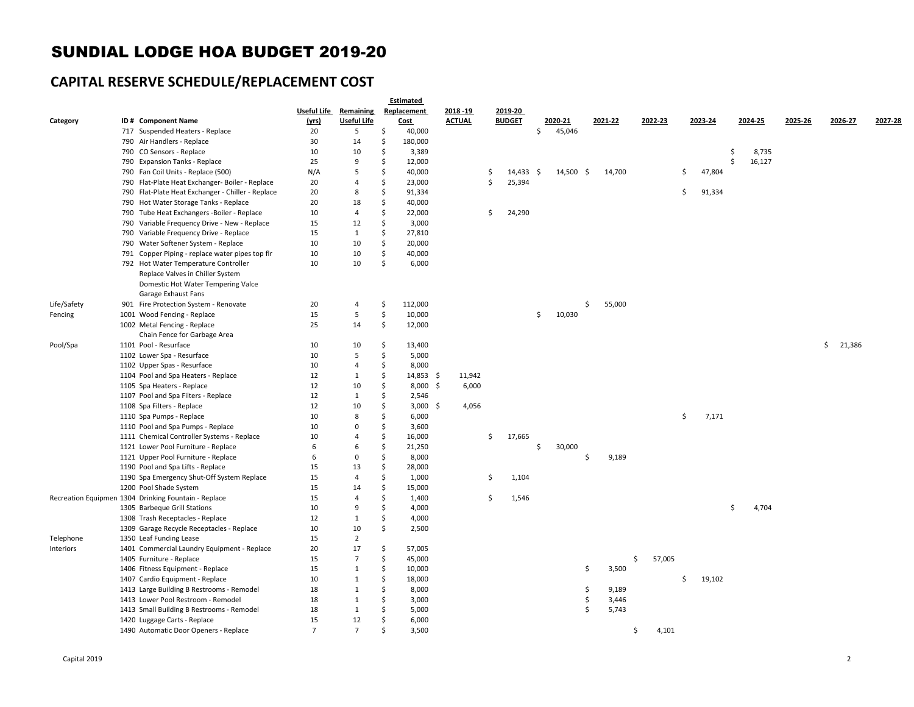#### SUNDIAL LODGE HOA BUDGET 2019-20

## **CAPITAL RESERVE SCHEDULE/REPLACEMENT COST**

|             |                                                      |                |                    |                    | <b>Estimated</b> |               |                     |              |     |         |         |    |         |    |         |         |              |         |
|-------------|------------------------------------------------------|----------------|--------------------|--------------------|------------------|---------------|---------------------|--------------|-----|---------|---------|----|---------|----|---------|---------|--------------|---------|
|             |                                                      | Useful Life    | Remaining          |                    | Replacement      | 2018 - 19     | 2019-20             |              |     |         |         |    |         |    |         |         |              |         |
| Category    | ID# Component Name                                   | (yrs)          | <b>Useful Life</b> |                    | <b>Cost</b>      | <b>ACTUAL</b> | <b>BUDGET</b>       | 2020-21      |     | 2021-22 | 2022-23 |    | 2023-24 |    | 2024-25 | 2025-26 | 2026-27      | 2027-28 |
|             | 717 Suspended Heaters - Replace                      | 20             | 5                  | \$                 | 40,000           |               |                     | \$<br>45,046 |     |         |         |    |         |    |         |         |              |         |
|             | 790 Air Handlers - Replace                           | 30             | 14                 | Ŝ.                 | 180,000          |               |                     |              |     |         |         |    |         |    |         |         |              |         |
|             | 790 CO Sensors - Replace                             | 10             | 10                 | Ŝ.                 | 3,389            |               |                     |              |     |         |         |    |         | \$ | 8,735   |         |              |         |
|             | 790 Expansion Tanks - Replace                        | 25             | 9                  | Ŝ.                 | 12,000           |               |                     |              |     |         |         |    |         | Ś  | 16,127  |         |              |         |
|             | 790 Fan Coil Units - Replace (500)                   | N/A            | 5                  | Ŝ.                 | 40,000           |               | \$<br>$14,433 \div$ | 14,500       | -\$ | 14,700  |         | \$ | 47,804  |    |         |         |              |         |
|             | 790 Flat-Plate Heat Exchanger- Boiler - Replace      | 20             | $\overline{4}$     | Ŝ.                 | 23,000           |               | \$<br>25,394        |              |     |         |         |    |         |    |         |         |              |         |
|             | 790 Flat-Plate Heat Exchanger - Chiller - Replace    | 20             | 8                  | $\mathsf{\hat{S}}$ | 91,334           |               |                     |              |     |         |         | \$ | 91,334  |    |         |         |              |         |
|             | 790 Hot Water Storage Tanks - Replace                | 20             | 18                 | $\mathsf{\hat{S}}$ | 40,000           |               |                     |              |     |         |         |    |         |    |         |         |              |         |
|             | 790 Tube Heat Exchangers -Boiler - Replace           | 10             | $\overline{4}$     | $\mathsf{\hat{S}}$ | 22,000           |               | \$<br>24,290        |              |     |         |         |    |         |    |         |         |              |         |
|             | 790 Variable Frequency Drive - New - Replace         | 15             | 12                 | Ŝ.                 | 3,000            |               |                     |              |     |         |         |    |         |    |         |         |              |         |
|             | 790 Variable Frequency Drive - Replace               | 15             | $\mathbf{1}$       | Ŝ.                 | 27,810           |               |                     |              |     |         |         |    |         |    |         |         |              |         |
|             | 790 Water Softener System - Replace                  | 10             | 10                 | \$                 | 20,000           |               |                     |              |     |         |         |    |         |    |         |         |              |         |
|             | 791 Copper Piping - replace water pipes top flr      | 10             | 10                 | \$                 | 40,000           |               |                     |              |     |         |         |    |         |    |         |         |              |         |
|             | 792 Hot Water Temperature Controller                 | 10             | 10                 | Ś                  | 6,000            |               |                     |              |     |         |         |    |         |    |         |         |              |         |
|             | Replace Valves in Chiller System                     |                |                    |                    |                  |               |                     |              |     |         |         |    |         |    |         |         |              |         |
|             | Domestic Hot Water Tempering Valce                   |                |                    |                    |                  |               |                     |              |     |         |         |    |         |    |         |         |              |         |
|             | Garage Exhaust Fans                                  |                |                    |                    |                  |               |                     |              |     |         |         |    |         |    |         |         |              |         |
| Life/Safety | 901 Fire Protection System - Renovate                | 20             | $\overline{4}$     | \$                 | 112,000          |               |                     |              | \$  | 55,000  |         |    |         |    |         |         |              |         |
| Fencing     | 1001 Wood Fencing - Replace                          | 15             | 5                  | \$                 | 10,000           |               |                     | \$<br>10,030 |     |         |         |    |         |    |         |         |              |         |
|             | 1002 Metal Fencing - Replace                         | 25             | 14                 | \$                 | 12,000           |               |                     |              |     |         |         |    |         |    |         |         |              |         |
|             | Chain Fence for Garbage Area                         |                |                    |                    |                  |               |                     |              |     |         |         |    |         |    |         |         |              |         |
| Pool/Spa    | 1101 Pool - Resurface                                | 10             | 10                 | \$.                | 13,400           |               |                     |              |     |         |         |    |         |    |         |         | \$<br>21,386 |         |
|             | 1102 Lower Spa - Resurface                           | 10             | 5                  | \$                 | 5,000            |               |                     |              |     |         |         |    |         |    |         |         |              |         |
|             | 1102 Upper Spas - Resurface                          | 10             | $\overline{4}$     | \$                 | 8,000            |               |                     |              |     |         |         |    |         |    |         |         |              |         |
|             | 1104 Pool and Spa Heaters - Replace                  | 12             | $\mathbf{1}$       | \$                 | $14,853$ \$      | 11,942        |                     |              |     |         |         |    |         |    |         |         |              |         |
|             | 1105 Spa Heaters - Replace                           | 12             | 10                 | \$                 | $8,000$ \$       | 6,000         |                     |              |     |         |         |    |         |    |         |         |              |         |
|             | 1107 Pool and Spa Filters - Replace                  | 12             | $\mathbf{1}$       | Ś                  | 2,546            |               |                     |              |     |         |         |    |         |    |         |         |              |         |
|             | 1108 Spa Filters - Replace                           | 12             | 10                 | \$                 | $3,000$ \$       | 4,056         |                     |              |     |         |         |    |         |    |         |         |              |         |
|             | 1110 Spa Pumps - Replace                             | 10             | 8                  | Ś                  | 6,000            |               |                     |              |     |         |         | \$ | 7,171   |    |         |         |              |         |
|             | 1110 Pool and Spa Pumps - Replace                    | 10             | $\Omega$           | Ŝ.                 | 3,600            |               |                     |              |     |         |         |    |         |    |         |         |              |         |
|             | 1111 Chemical Controller Systems - Replace           | 10             | $\overline{4}$     | Ŝ.                 | 16,000           |               | \$<br>17,665        |              |     |         |         |    |         |    |         |         |              |         |
|             | 1121 Lower Pool Furniture - Replace                  | 6              | 6                  | Ŝ.                 | 21,250           |               |                     | \$<br>30,000 |     |         |         |    |         |    |         |         |              |         |
|             | 1121 Upper Pool Furniture - Replace                  | 6              | $\Omega$           | Ŝ.                 | 8,000            |               |                     |              | Ś   | 9,189   |         |    |         |    |         |         |              |         |
|             | 1190 Pool and Spa Lifts - Replace                    | 15             | 13                 | \$                 | 28,000           |               |                     |              |     |         |         |    |         |    |         |         |              |         |
|             | 1190 Spa Emergency Shut-Off System Replace           | 15             | $\overline{4}$     | \$                 | 1,000            |               | \$<br>1,104         |              |     |         |         |    |         |    |         |         |              |         |
|             | 1200 Pool Shade System                               | 15             | 14                 | $\mathsf{\hat{S}}$ | 15,000           |               |                     |              |     |         |         |    |         |    |         |         |              |         |
|             | Recreation Equipmen 1304 Drinking Fountain - Replace | 15             | $\overline{4}$     | $\mathsf{\hat{S}}$ | 1,400            |               | \$<br>1,546         |              |     |         |         |    |         |    |         |         |              |         |
|             | 1305 Barbeque Grill Stations                         | 10             | 9                  | \$                 | 4,000            |               |                     |              |     |         |         |    |         | \$ | 4,704   |         |              |         |
|             | 1308 Trash Receptacles - Replace                     | 12             | $\mathbf{1}$       | Ś                  | 4,000            |               |                     |              |     |         |         |    |         |    |         |         |              |         |
|             |                                                      |                | 10                 | \$                 |                  |               |                     |              |     |         |         |    |         |    |         |         |              |         |
|             | 1309 Garage Recycle Receptacles - Replace            | 10<br>15       | $\overline{2}$     |                    | 2,500            |               |                     |              |     |         |         |    |         |    |         |         |              |         |
| Telephone   | 1350 Leaf Funding Lease                              |                |                    |                    |                  |               |                     |              |     |         |         |    |         |    |         |         |              |         |
| Interiors   | 1401 Commercial Laundry Equipment - Replace          | 20             | 17                 | \$                 | 57,005           |               |                     |              |     |         |         |    |         |    |         |         |              |         |
|             | 1405 Furniture - Replace                             | 15             | $\overline{7}$     | \$                 | 45,000           |               |                     |              |     | Ś.      | 57,005  |    |         |    |         |         |              |         |
|             | 1406 Fitness Equipment - Replace                     | 15             | $\mathbf{1}$       | $\mathsf{\hat{S}}$ | 10,000           |               |                     |              | \$  | 3,500   |         |    |         |    |         |         |              |         |
|             | 1407 Cardio Equipment - Replace                      | 10             | $\mathbf{1}$       | \$                 | 18,000           |               |                     |              |     |         |         | Ŝ. | 19,102  |    |         |         |              |         |
|             | 1413 Large Building B Restrooms - Remodel            | 18             | $\mathbf{1}$       | $\mathsf{\hat{S}}$ | 8,000            |               |                     |              | \$  | 9,189   |         |    |         |    |         |         |              |         |
|             | 1413 Lower Pool Restroom - Remodel                   | 18             | $\mathbf{1}$       | Ŝ.                 | 3,000            |               |                     |              | \$  | 3,446   |         |    |         |    |         |         |              |         |
|             | 1413 Small Building B Restrooms - Remodel            | 18             | $\mathbf{1}$       | \$                 | 5,000            |               |                     |              | Ś.  | 5,743   |         |    |         |    |         |         |              |         |
|             | 1420 Luggage Carts - Replace                         | 15             | 12                 | Ś                  | 6,000            |               |                     |              |     |         |         |    |         |    |         |         |              |         |
|             | 1490 Automatic Door Openers - Replace                | $\overline{7}$ | $\overline{7}$     | Ś                  | 3,500            |               |                     |              |     | \$      | 4,101   |    |         |    |         |         |              |         |